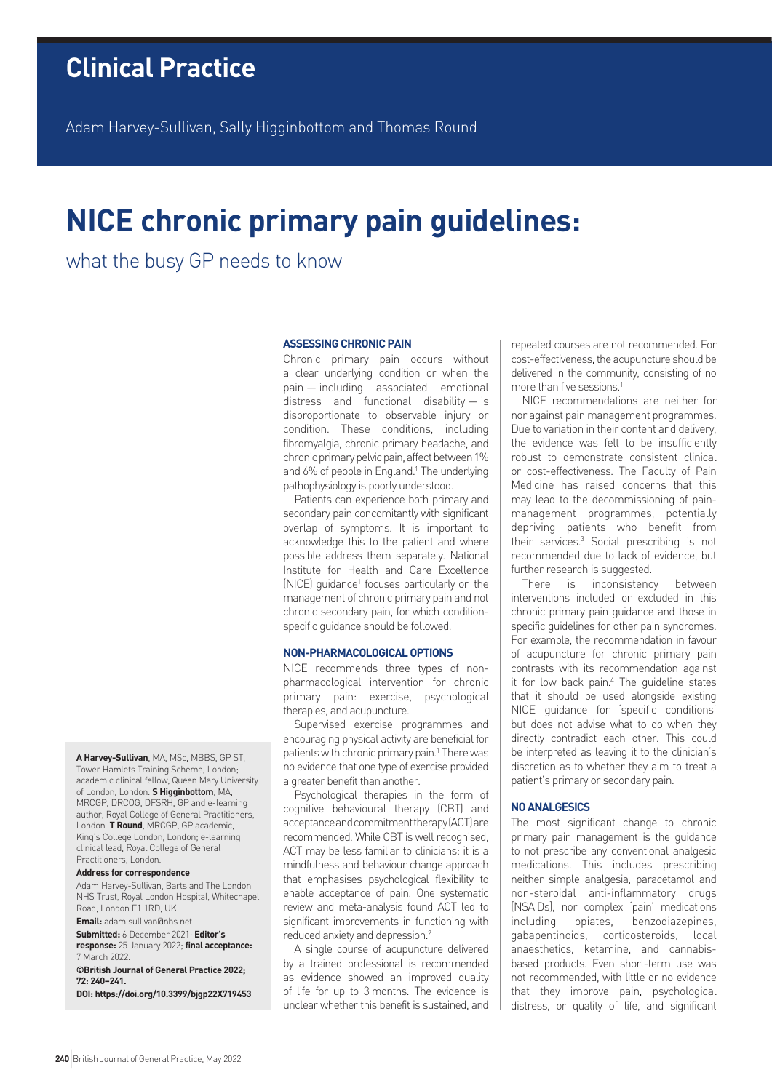Adam Harvey-Sullivan, Sally Higginbottom and Thomas Round

# **NICE chronic primary pain guidelines:**

what the busy GP needs to know

## **ASSESSING CHRONIC PAIN**

Chronic primary pain occurs without a clear underlying condition or when the pain — including associated emotional distress and functional disability — is disproportionate to observable injury or condition. These conditions, including fibromyalgia, chronic primary headache, and chronic primary pelvic pain, affect between 1% and 6% of people in England.<sup>1</sup> The underlying pathophysiology is poorly understood.

Patients can experience both primary and secondary pain concomitantly with significant overlap of symptoms. It is important to acknowledge this to the patient and where possible address them separately. National Institute for Health and Care Excellence (NICE) guidance<sup>1</sup> focuses particularly on the management of chronic primary pain and not chronic secondary pain, for which conditionspecific guidance should be followed.

# **NON-PHARMACOLOGICAL OPTIONS**

NICE recommends three types of nonpharmacological intervention for chronic primary pain: exercise, psychological therapies, and acupuncture.

Supervised exercise programmes and encouraging physical activity are beneficial for patients with chronic primary pain.<sup>1</sup> There was no evidence that one type of exercise provided a greater benefit than another.

Psychological therapies in the form of cognitive behavioural therapy (CBT) and acceptance and commitment therapy (ACT) are recommended. While CBT is well recognised, ACT may be less familiar to clinicians: it is a mindfulness and behaviour change approach that emphasises psychological flexibility to enable acceptance of pain. One systematic review and meta-analysis found ACT led to significant improvements in functioning with reduced anxiety and depression.2

A single course of acupuncture delivered by a trained professional is recommended as evidence showed an improved quality of life for up to 3 months. The evidence is unclear whether this benefit is sustained, and repeated courses are not recommended. For cost-effectiveness, the acupuncture should be delivered in the community, consisting of no more than five sessions.<sup>1</sup>

NICE recommendations are neither for nor against pain management programmes. Due to variation in their content and delivery, the evidence was felt to be insufficiently robust to demonstrate consistent clinical or cost-effectiveness. The Faculty of Pain Medicine has raised concerns that this may lead to the decommissioning of painmanagement programmes, potentially depriving patients who benefit from their services.3 Social prescribing is not recommended due to lack of evidence, but further research is suggested.

There is inconsistency between interventions included or excluded in this chronic primary pain guidance and those in specific guidelines for other pain syndromes. For example, the recommendation in favour of acupuncture for chronic primary pain contrasts with its recommendation against it for low back pain.<sup>4</sup> The guideline states that it should be used alongside existing NICE guidance for 'specific conditions' but does not advise what to do when they directly contradict each other. This could be interpreted as leaving it to the clinician's discretion as to whether they aim to treat a patient's primary or secondary pain.

#### **NO ANALGESICS**

The most significant change to chronic primary pain management is the guidance to not prescribe any conventional analgesic medications. This includes prescribing neither simple analgesia, paracetamol and non-steroidal anti-inflammatory drugs [NSAIDs], nor complex 'pain' medications including opiates, benzodiazepines, gabapentinoids, corticosteroids, local anaesthetics, ketamine, and cannabisbased products. Even short-term use was not recommended, with little or no evidence that they improve pain, psychological distress, or quality of life, and significant

**A Harvey-Sullivan**, MA, MSc, MBBS, GP ST, Tower Hamlets Training Scheme, London; academic clinical fellow, Queen Mary University of London, London. **S Higginbottom**, MA, MRCGP, DRCOG, DFSRH, GP and e-learning author, Royal College of General Practitioners, London. **T Round**, MRCGP, GP academic, King's College London, London; e-learning clinical lead, Royal College of General Practitioners, London.

#### **Address for correspondence**

Adam Harvey-Sullivan, Barts and The London NHS Trust, Royal London Hospital, Whitechapel Road, London E1 1RD, UK.

**Email:** [adam.sullivan@nhs.net](mailto:adam.sullivan@nhs.net)

**Submitted:** 6 December 2021; **Editor's response:** 25 January 2022; **final acceptance:** 7 March 2022.

**©British Journal of General Practice 2022; 72: 240–241.**

**DOI:<https://doi.org/10.3399/bjgp22X719453>**